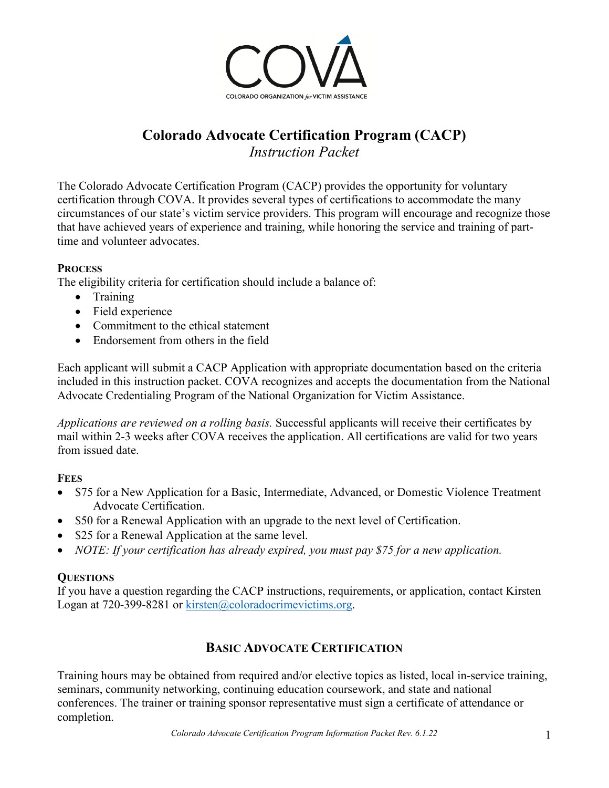

# **Colorado Advocate Certification Program (CACP)** *Instruction Packet*

The Colorado Advocate Certification Program (CACP) provides the opportunity for voluntary certification through COVA. It provides several types of certifications to accommodate the many circumstances of our state's victim service providers. This program will encourage and recognize those that have achieved years of experience and training, while honoring the service and training of parttime and volunteer advocates.

## **PROCESS**

The eligibility criteria for certification should include a balance of:

- Training
- Field experience
- Commitment to the ethical statement
- Endorsement from others in the field

Each applicant will submit a CACP Application with appropriate documentation based on the criteria included in this instruction packet. COVA recognizes and accepts the documentation from the National Advocate Credentialing Program of the National Organization for Victim Assistance.

*Applications are reviewed on a rolling basis.* Successful applicants will receive their certificates by mail within 2-3 weeks after COVA receives the application. All certifications are valid for two years from issued date.

## **FEES**

- \$75 for a New Application for a Basic, Intermediate, Advanced, or Domestic Violence Treatment Advocate Certification.
- \$50 for a Renewal Application with an upgrade to the next level of Certification.
- \$25 for a Renewal Application at the same level.
- *NOTE: If your certification has already expired, you must pay \$75 for a new application.*

## **QUESTIONS**

If you have a question regarding the CACP instructions, requirements, or application, contact Kirsten Logan at 720-399-8281 or kirsten@coloradocrimevictims.org.

## **BASIC ADVOCATE CERTIFICATION**

Training hours may be obtained from required and/or elective topics as listed, local in-service training, seminars, community networking, continuing education coursework, and state and national conferences. The trainer or training sponsor representative must sign a certificate of attendance or completion.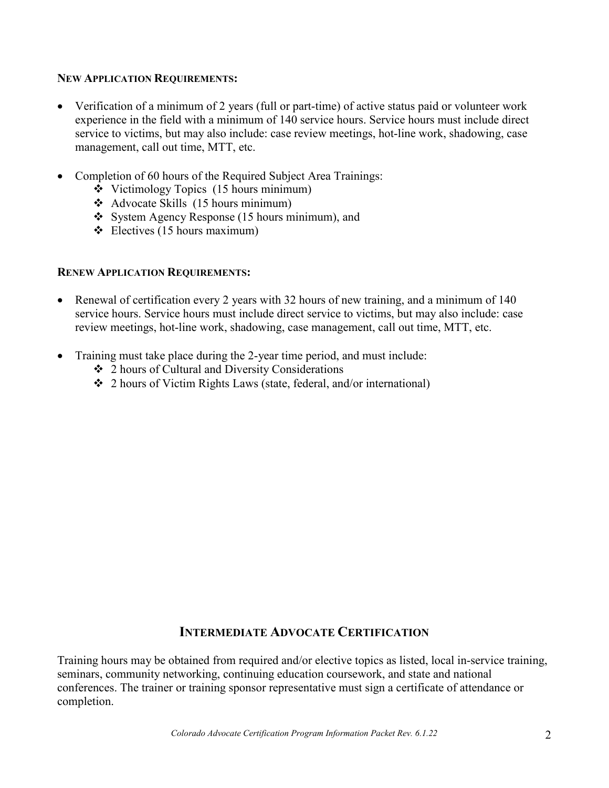#### **NEW APPLICATION REQUIREMENTS:**

- Verification of a minimum of 2 years (full or part-time) of active status paid or volunteer work experience in the field with a minimum of 140 service hours. Service hours must include direct service to victims, but may also include: case review meetings, hot-line work, shadowing, case management, call out time, MTT, etc.
- Completion of 60 hours of the Required Subject Area Trainings:
	- Victimology Topics (15 hours minimum)
	- $\triangleleft$  Advocate Skills (15 hours minimum)
	- System Agency Response (15 hours minimum), and
	- $\div$  Electives (15 hours maximum)

#### **RENEW APPLICATION REQUIREMENTS:**

- Renewal of certification every 2 years with 32 hours of new training, and a minimum of 140 service hours. Service hours must include direct service to victims, but may also include: case review meetings, hot-line work, shadowing, case management, call out time, MTT, etc.
- Training must take place during the 2-year time period, and must include:
	- 2 hours of Cultural and Diversity Considerations
	- 2 hours of Victim Rights Laws (state, federal, and/or international)

## **INTERMEDIATE ADVOCATE CERTIFICATION**

Training hours may be obtained from required and/or elective topics as listed, local in-service training, seminars, community networking, continuing education coursework, and state and national conferences. The trainer or training sponsor representative must sign a certificate of attendance or completion.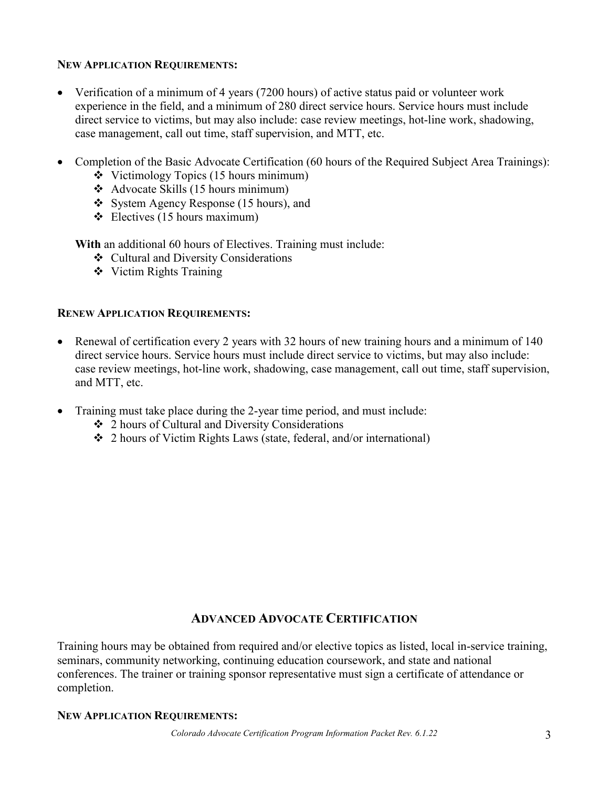#### **NEW APPLICATION REQUIREMENTS:**

- Verification of a minimum of 4 years (7200 hours) of active status paid or volunteer work experience in the field, and a minimum of 280 direct service hours. Service hours must include direct service to victims, but may also include: case review meetings, hot-line work, shadowing, case management, call out time, staff supervision, and MTT, etc.
- Completion of the Basic Advocate Certification (60 hours of the Required Subject Area Trainings):
	- $\div$  Victimology Topics (15 hours minimum)
	- Advocate Skills (15 hours minimum)
	- System Agency Response (15 hours), and
	- $\div$  Electives (15 hours maximum)

**With** an additional 60 hours of Electives. Training must include:

- Cultural and Diversity Considerations
- Victim Rights Training

#### **RENEW APPLICATION REQUIREMENTS:**

- Renewal of certification every 2 years with 32 hours of new training hours and a minimum of 140 direct service hours. Service hours must include direct service to victims, but may also include: case review meetings, hot-line work, shadowing, case management, call out time, staff supervision, and MTT, etc.
- Training must take place during the 2-year time period, and must include:
	- 2 hours of Cultural and Diversity Considerations
	- 2 hours of Victim Rights Laws (state, federal, and/or international)

## **ADVANCED ADVOCATE CERTIFICATION**

Training hours may be obtained from required and/or elective topics as listed, local in-service training, seminars, community networking, continuing education coursework, and state and national conferences. The trainer or training sponsor representative must sign a certificate of attendance or completion.

#### **NEW APPLICATION REQUIREMENTS:**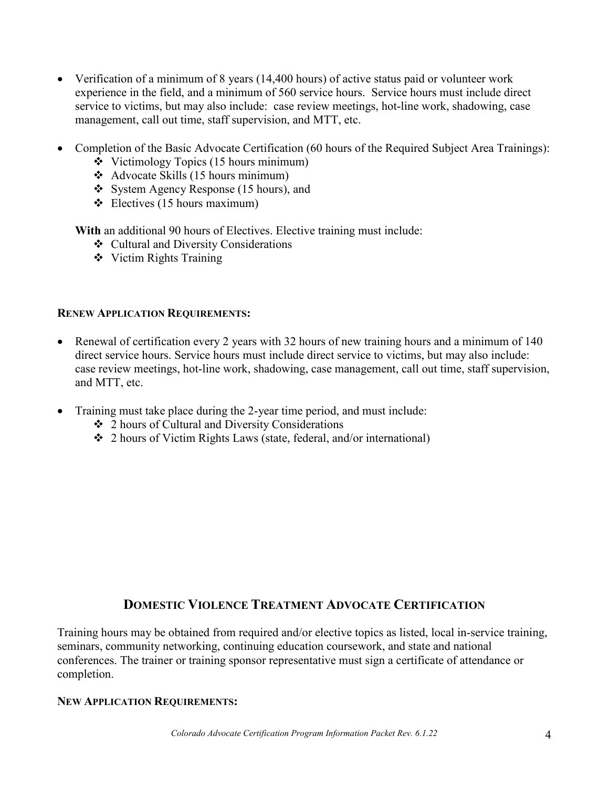- Verification of a minimum of 8 years (14,400 hours) of active status paid or volunteer work experience in the field, and a minimum of 560 service hours. Service hours must include direct service to victims, but may also include: case review meetings, hot-line work, shadowing, case management, call out time, staff supervision, and MTT, etc.
- Completion of the Basic Advocate Certification (60 hours of the Required Subject Area Trainings):
	- $\div$  Victimology Topics (15 hours minimum)
	- $\triangleleft$  Advocate Skills (15 hours minimum)
	- System Agency Response (15 hours), and
	- $\div$  Electives (15 hours maximum)

**With** an additional 90 hours of Electives. Elective training must include:

- Cultural and Diversity Considerations
- Victim Rights Training

#### **RENEW APPLICATION REQUIREMENTS:**

- Renewal of certification every 2 years with 32 hours of new training hours and a minimum of 140 direct service hours. Service hours must include direct service to victims, but may also include: case review meetings, hot-line work, shadowing, case management, call out time, staff supervision, and MTT, etc.
- Training must take place during the 2-year time period, and must include:
	- 2 hours of Cultural and Diversity Considerations
	- 2 hours of Victim Rights Laws (state, federal, and/or international)

## **DOMESTIC VIOLENCE TREATMENT ADVOCATE CERTIFICATION**

Training hours may be obtained from required and/or elective topics as listed, local in-service training, seminars, community networking, continuing education coursework, and state and national conferences. The trainer or training sponsor representative must sign a certificate of attendance or completion.

#### **NEW APPLICATION REQUIREMENTS:**